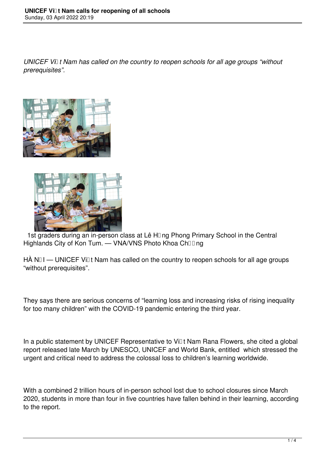*UNICEF Vi* t Nam has called on the country to reopen schools for all age groups "without *prerequisites".*





1st graders during an in-person class at Lê H<sub>[I]</sub> ng Phong Primary School in the Central Highlands City of Kon Tum. — VNA/VNS Photo Khoa Ch**ūūng** 

 $H\hat{A}$  N $\Box$ I — UNICEF Vi $\Box$ t Nam has called on the country to reopen schools for all age groups "without prerequisites".

They says there are serious concerns of "learning loss and increasing risks of rising inequality for too many children" with the COVID-19 pandemic entering the third year.

In a public statement by UNICEF Representative to Vill t Nam Rana Flowers, she cited a global report released late March by UNESCO, UNICEF and World Bank, entitled which stressed the urgent and critical need to address the colossal loss to children's learning worldwide.

With a combined 2 trillion hours of in-person school lost due to school closures since March 2020, students in more than four in five countries have fallen behind in their learning, according to the report.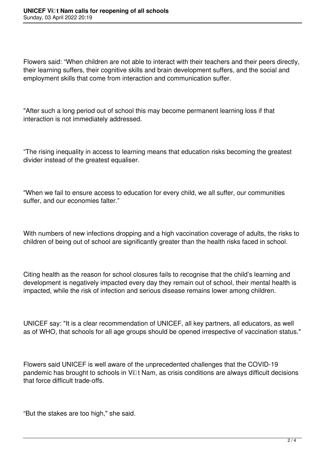Flowers said: "When children are not able to interact with their teachers and their peers directly, their learning suffers, their cognitive skills and brain development suffers, and the social and employment skills that come from interaction and communication suffer.

"After such a long period out of school this may become permanent learning loss if that interaction is not immediately addressed.

"The rising inequality in access to learning means that education risks becoming the greatest divider instead of the greatest equaliser.

"When we fail to ensure access to education for every child, we all suffer, our communities suffer, and our economies falter."

With numbers of new infections dropping and a high vaccination coverage of adults, the risks to children of being out of school are significantly greater than the health risks faced in school.

Citing health as the reason for school closures fails to recognise that the child's learning and development is negatively impacted every day they remain out of school, their mental health is impacted, while the risk of infection and serious disease remains lower among children.

UNICEF say: "It is a clear recommendation of UNICEF, all key partners, all educators, as well as of WHO, that schools for all age groups should be opened irrespective of vaccination status."

Flowers said UNICEF is well aware of the unprecedented challenges that the COVID-19 pandemic has brought to schools in Vi $\mathbb{I}$ t Nam, as crisis conditions are always difficult decisions that force difficult trade-offs.

"But the stakes are too high," she said.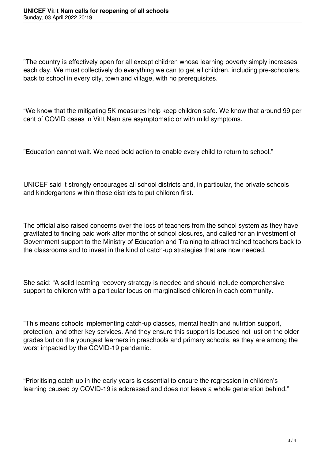"The country is effectively open for all except children whose learning poverty simply increases each day. We must collectively do everything we can to get all children, including pre-schoolers, back to school in every city, town and village, with no prerequisites.

"We know that the mitigating 5K measures help keep children safe. We know that around 99 per cent of COVID cases in Vi**Dt Nam are asymptomatic or with mild symptoms**.

"Education cannot wait. We need bold action to enable every child to return to school."

UNICEF said it strongly encourages all school districts and, in particular, the private schools and kindergartens within those districts to put children first.

The official also raised concerns over the loss of teachers from the school system as they have gravitated to finding paid work after months of school closures, and called for an investment of Government support to the Ministry of Education and Training to attract trained teachers back to the classrooms and to invest in the kind of catch-up strategies that are now needed.

She said: "A solid learning recovery strategy is needed and should include comprehensive support to children with a particular focus on marginalised children in each community.

"This means schools implementing catch-up classes, mental health and nutrition support, protection, and other key services. And they ensure this support is focused not just on the older grades but on the youngest learners in preschools and primary schools, as they are among the worst impacted by the COVID-19 pandemic.

"Prioritising catch-up in the early years is essential to ensure the regression in children's learning caused by COVID-19 is addressed and does not leave a whole generation behind."